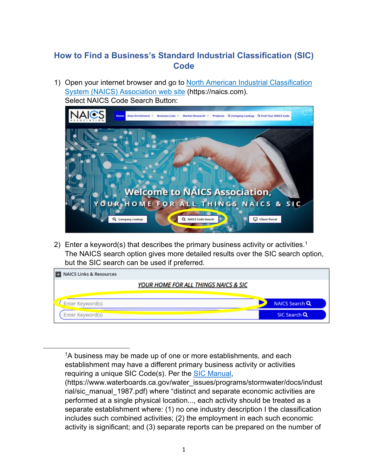## **How to Find a Business's Standard Industrial Classification (SIC) Code**

1) Open your internet browser and go to [North American Industrial Classification](https://naics.com/) [System \(NAICS\)](https://naics.com/) Association web site (https://naics.com). Select NAICS Code Search Button:



2) Enter a keyword(s) that describes the primary business activity or activities.<sup>[1](#page-0-0)</sup> The NAICS search option gives more detailed results over the SIC search option, but the SIC search can be used if preferred.

| YOUR HOME FOR ALL THINGS NAICS & SIC |                |
|--------------------------------------|----------------|
| L Enter Keyword(s)                   | NAICS Search Q |
| Enter Keyword(s)                     | SIC Search Q   |

<span id="page-0-0"></span> $1A$  business may be made up of one or more establishments, and each establishment may have a different primary business activity or activities requiring a unique SIC Code(s). Per the [SIC Manual,](https://www.waterboards.ca.gov/water_issues/programs/stormwater/docs/industrial/sic_manual_1987.pdf)

<sup>(</sup>https://www.waterboards.ca.gov/water\_issues/programs/stormwater/docs/indust rial/sic\_manual\_1987.pdf) where "distinct and separate economic activities are performed at a single physical location..., each activity should be treated as a separate establishment where: (1) no one industry description I the classification includes such combined activities; (2) the employment in each such economic activity is significant; and (3) separate reports can be prepared on the number of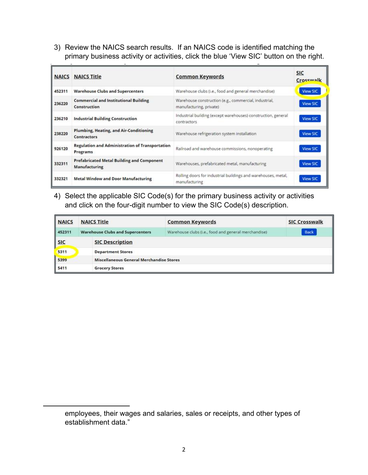3) Review the NAICS search results. If an NAICS code is identified matching the primary business activity or activities, click the blue 'View SIC' button on the right.

|        | <b>NAICS NAICS Title</b>                                             | <b>Common Keywords</b>                                                           | <b>SIC</b><br>Crosswalk |
|--------|----------------------------------------------------------------------|----------------------------------------------------------------------------------|-------------------------|
| 452311 | <b>Warehouse Clubs and Supercenters</b>                              | Warehouse clubs (i.e., food and general merchandise)                             | <b>View SIC</b>         |
| 236220 | <b>Commercial and Institutional Building</b><br>Construction         | Warehouse construction (e.g., commercial, industrial,<br>manufacturing, private) | <b>View SIC</b>         |
| 236210 | <b>Industrial Building Construction</b>                              | Industrial building (except warehouses) construction, general<br>contractors     | <b>View SIC</b>         |
| 238220 | <b>Plumbing, Heating, and Air-Conditioning</b><br><b>Contractors</b> | Warehouse refrigeration system installation                                      | <b>View SIC</b>         |
| 926120 | <b>Regulation and Administration of Transportation</b><br>Programs   | Railroad and warehouse commissions, nonoperating                                 | <b>View SIC</b>         |
| 332311 | <b>Prefabricated Metal Building and Component</b><br>Manufacturing   | Warehouses, prefabricated metal, manufacturing                                   | <b>View SIC</b>         |
| 332321 | <b>Metal Window and Door Manufacturing</b>                           | Rolling doors for industrial buildings and warehouses, metal,<br>manufacturing   | <b>View SIC</b>         |

4) Select the applicable SIC Code(s) for the primary business activity or activities and click on the four-digit number to view the SIC Code(s) description.

| <b>NAICS</b> | <b>NAICS Title</b>                              | <b>Common Keywords</b>                               | <b>SIC Crosswalk</b> |  |
|--------------|-------------------------------------------------|------------------------------------------------------|----------------------|--|
| 452311       | <b>Warehouse Clubs and Supercenters</b>         | Warehouse clubs (i.e., food and general merchandise) | Back                 |  |
| <b>SIC</b>   | <b>SIC Description</b>                          |                                                      |                      |  |
| 5311         | <b>Department Stores</b>                        |                                                      |                      |  |
| 5399         | <b>Miscellaneous General Merchandise Stores</b> |                                                      |                      |  |
| 5411         | <b>Grocery Stores</b>                           |                                                      |                      |  |

employees, their wages and salaries, sales or receipts, and other types of establishment data."